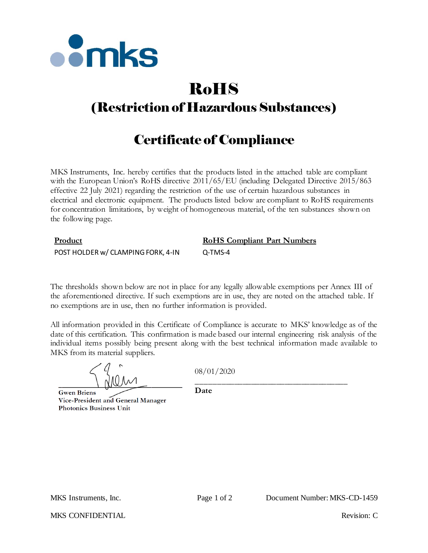

# RoHS

# (Restriction of Hazardous Substances)

## Certificate of Compliance

MKS Instruments, Inc. hereby certifies that the products listed in the attached table are compliant with the European Union's RoHS directive  $2011/65/EU$  (including Delegated Directive 2015/863 effective 22 July 2021) regarding the restriction of the use of certain hazardous substances in electrical and electronic equipment. The products listed below are compliant to RoHS requirements for concentration limitations, by weight of homogeneous material, of the ten substances shown on the following page.

## **Product RoHS Compliant Part Numbers** POST HOLDER w/ CLAMPING FORK, 4-IN Q-TMS-4

The thresholds shown below are not in place for any legally allowable exemptions per Annex III of the aforementioned directive. If such exemptions are in use, they are noted on the attached table. If no exemptions are in use, then no further information is provided.

All information provided in this Certificate of Compliance is accurate to MKS' knowledge as of the date of this certification. This confirmation is made based our internal engineering risk analysis of the individual items possibly being present along with the best technical information made available to MKS from its material suppliers.

08/01/2020

**Gwen Briens** Vice-President and General Manager **Photonics Business Unit** 

\_\_\_\_\_\_\_\_\_\_\_\_\_\_\_\_\_\_\_\_\_\_\_\_\_\_\_\_\_\_\_\_\_\_\_\_ **Date**

MKS CONFIDENTIAL THE CONFIDENTIAL Revision: C